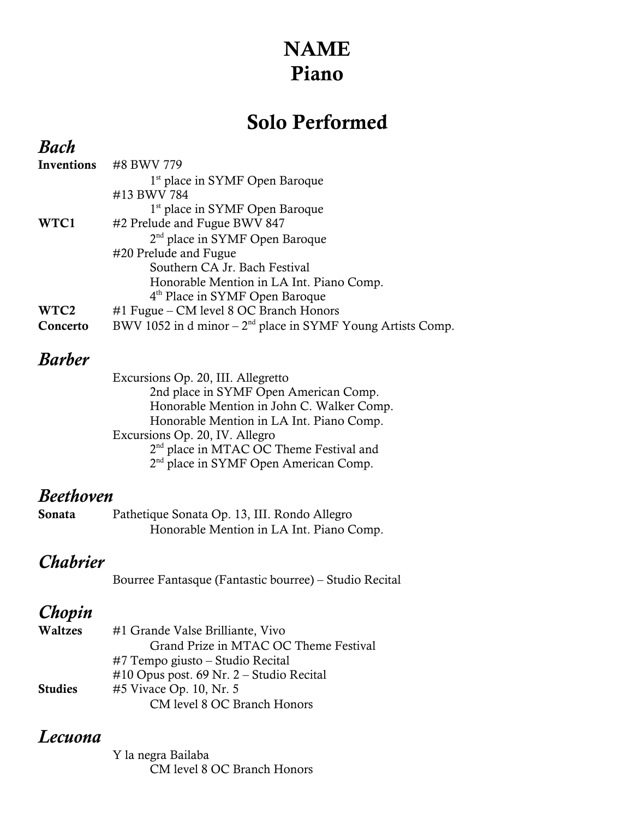# NAME Piano

# Solo Performed

## *Bach*

| Inventions       | #8 BWV 779                                                     |
|------------------|----------------------------------------------------------------|
|                  | 1 <sup>st</sup> place in SYMF Open Baroque                     |
|                  | #13 BWV 784                                                    |
|                  | 1 <sup>st</sup> place in SYMF Open Baroque                     |
| WTC1             | #2 Prelude and Fugue BWV 847                                   |
|                  | 2 <sup>nd</sup> place in SYMF Open Baroque                     |
|                  | #20 Prelude and Fugue                                          |
|                  | Southern CA Jr. Bach Festival                                  |
|                  | Honorable Mention in LA Int. Piano Comp.                       |
|                  | 4 <sup>th</sup> Place in SYMF Open Baroque                     |
| WTC <sub>2</sub> | #1 Fugue – CM level 8 OC Branch Honors                         |
| Concerto         | BWV 1052 in $d$ minor $-2nd$ place in SYMF Young Artists Comp. |

#### *Barber*

## *Beethoven*

| Sonata | Pathetique Sonata Op. 13, III. Rondo Allegro |
|--------|----------------------------------------------|
|        | Honorable Mention in LA Int. Piano Comp.     |

# *Chabrier*

Bourree Fantasque (Fantastic bourree) – Studio Recital

# *Chopin*

| Waltzes        | #1 Grande Valse Brilliante, Vivo            |
|----------------|---------------------------------------------|
|                | Grand Prize in MTAC OC Theme Festival       |
|                | $#7$ Tempo giusto – Studio Recital          |
|                | $\#10$ Opus post. 69 Nr. 2 – Studio Recital |
| <b>Studies</b> | #5 Vivace Op. 10, Nr. 5                     |
|                | CM level 8 OC Branch Honors                 |

## *Lecuona*

Y la negra Bailaba CM level 8 OC Branch Honors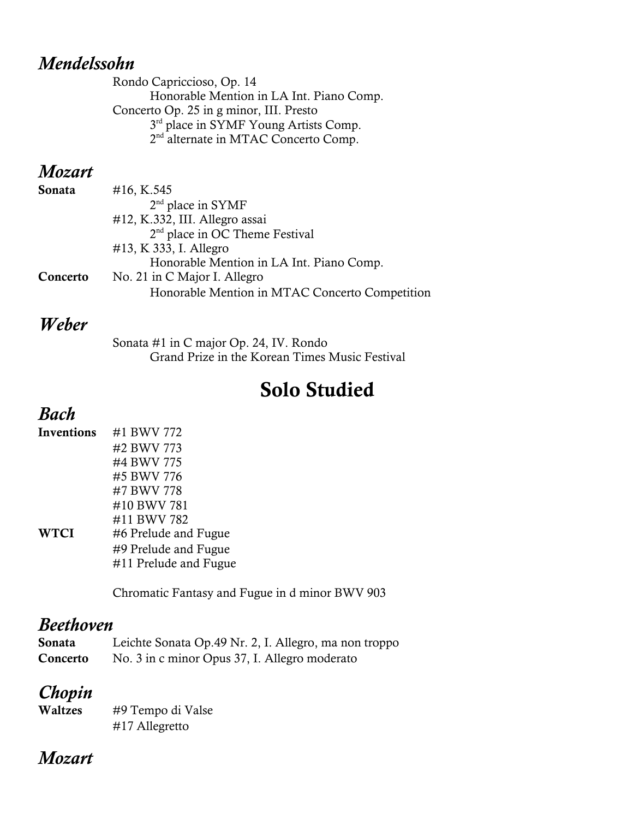#### *Mendelssohn*

Rondo Capriccioso, Op. 14 Honorable Mention in LA Int. Piano Comp. Concerto Op. 25 in g minor, III. Presto 3<sup>rd</sup> place in SYMF Young Artists Comp. 2<sup>nd</sup> alternate in MTAC Concerto Comp.

#### *Mozart*

| Sonata   | #16, K.545                                     |
|----------|------------------------------------------------|
|          | $2nd$ place in SYMF                            |
|          | #12, K.332, III. Allegro assai                 |
|          | 2 <sup>nd</sup> place in OC Theme Festival     |
|          | #13, K 333, I. Allegro                         |
|          | Honorable Mention in LA Int. Piano Comp.       |
| Concerto | No. 21 in C Major I. Allegro                   |
|          | Honorable Mention in MTAC Concerto Competition |

#### *Weber*

Sonata #1 in C major Op. 24, IV. Rondo Grand Prize in the Korean Times Music Festival

# Solo Studied

# *Bach*

| Inventions | #1 BWV 772            |
|------------|-----------------------|
|            | #2 BWV 773            |
|            | #4 BWV 775            |
|            | #5 BWV 776            |
|            | #7 BWV 778            |
|            | #10 BWV 781           |
|            | #11 BWV 782           |
| WTCI       | #6 Prelude and Fugue  |
|            | #9 Prelude and Fugue  |
|            | #11 Prelude and Fugue |

Chromatic Fantasy and Fugue in d minor BWV 903

## *Beethoven*

| Sonata   | Leichte Sonata Op.49 Nr. 2, I. Allegro, ma non troppo |
|----------|-------------------------------------------------------|
| Concerto | No. 3 in c minor Opus 37, I. Allegro moderato         |

# *Chopin*

| Waltzes | #9 Tempo di Valse |
|---------|-------------------|
|         | #17 Allegretto    |

## *Mozart*